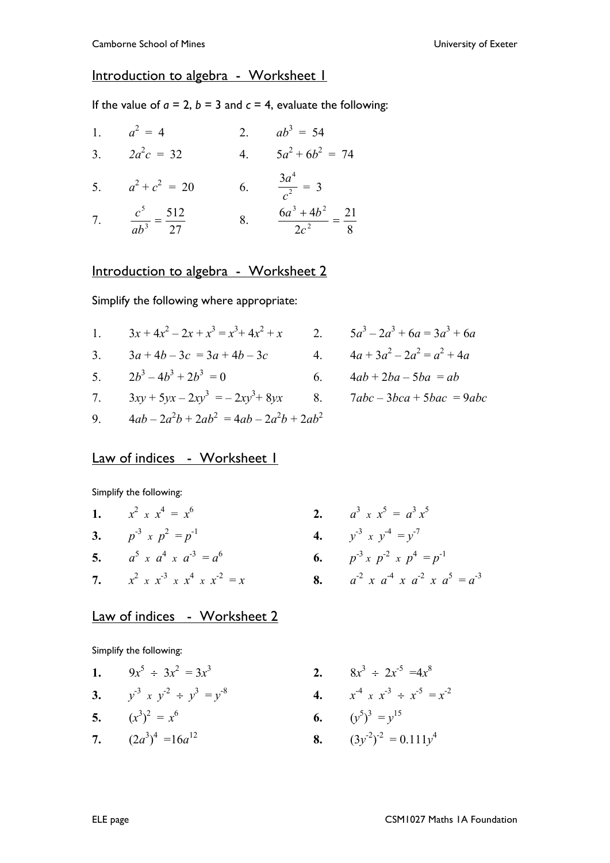## Introduction to algebra - Worksheet 1

If the value of  $a = 2$ ,  $b = 3$  and  $c = 4$ , evaluate the following:

|    | 1. $a^2 = 4$                         | 2. | $ab^3 = 54$                           |
|----|--------------------------------------|----|---------------------------------------|
| 3. | $2a^2c = 32$                         | 4. | $5a^2 + 6b^2 = 74$                    |
| 5. | $a^2 + c^2 = 20$                     | 6. | $rac{3a^4}{c^2} = 3$                  |
|    | 7. $rac{c^5}{ab^3} = \frac{512}{27}$ | 8. | $\frac{6a^3+4b^2}{2c^2}=\frac{21}{8}$ |

## Introduction to algebra - Worksheet 2

Simplify the following where appropriate:

1.  $3x + 4x^2 - 2x + x^3 = x^3 + 4x^2 + x$ <br>2.  $5a^3 - 2a^3 + 6a = 3a^3 + 6a$ 3.  $3a + 4b - 3c = 3a + 4b - 3c$ <br>4.  $4a + 3a^2 - 2a^2 = a^2 + 4a$ 5.  $2b^3 - 4b^3 + 2b^3$ 6.  $4ab + 2ba - 5ba = ab$ 7.  $3xy + 5yx - 2xy^3 = -2xy^3 + 8yx$  8.  $7abc - 3bca + 5bac = 9abc$ 

$$
9. \qquad 4ab - 2a^2b + 2ab^2 = 4ab - 2a^2b + 2ab^2
$$

## Law of indices - Worksheet I

Simplify the following:

| 1. $x^2 \times x^4 = x^6$                           | 2. a |
|-----------------------------------------------------|------|
| 3. $p^{-3} \times p^2 = p^{-1}$                     | 4. y |
| 5. $a^5 \times a^4 \times a^{-3} = a^6$             | 6. p |
| 7. $x^2 \times x^{-3} \times x^4 \times x^{-2} = x$ | 8. a |

2. 
$$
a^3 \times x^5 = a^3 x^5
$$
  
\n4.  $y^{-3} \times y^{-4} = y^{-7}$   
\n6.  $p^{-3} \times p^{-2} \times p^{4} = p^{-1}$   
\n8.  $a^{-2} \times a^{-4} \times a^{-2} \times a^{5} = a^{-3}$ 

## Law of indices - Worksheet 2

Simplify the following:

1. 
$$
9x^5 \div 3x^2 = 3x^3
$$
  
\n3.  $y^{-3} x y^{-2} \div y^3 = y^{-8}$   
\n5.  $(x^3)^2 = x^6$ 

$$
3. \qquad (x \quad ) = x
$$

7. 
$$
(2a^3)^4 = 16a^{12}
$$

$$
x^{2} = 3x^{3}
$$
  
\n
$$
x^{3} + y^{3} = y^{8}
$$
  
\n2.  $8x^{3} \div 2x^{5} = 4x^{8}$   
\n4.  $x^{4} \times x^{3} \div x^{5} = x^{2}$   
\n6.  $(y^{5})^{3} = y^{15}$   
\n8.  $(3y^{2})^{2} = 0.111y^{4}$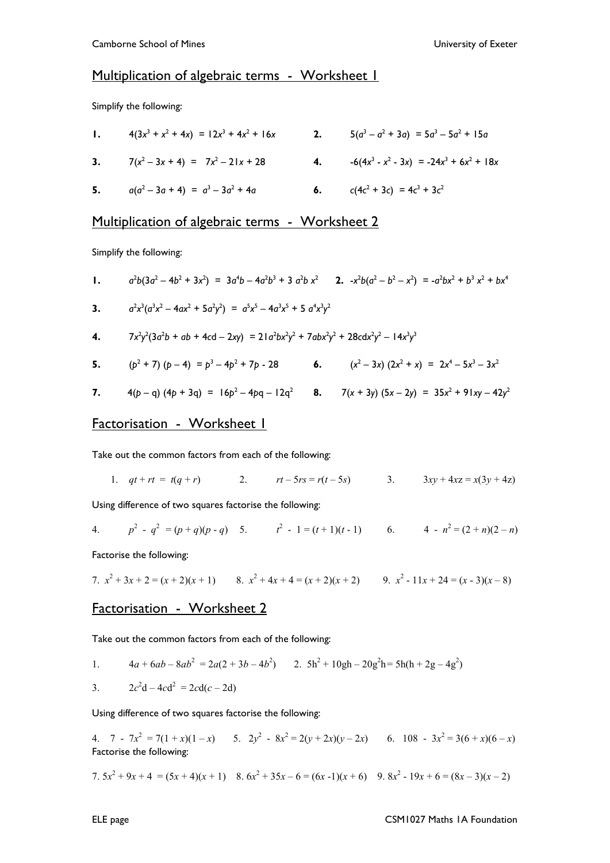#### Multiplication of algebraic terms - Worksheet I

Simplify the following:

| 1. $4(3x^3 + x^2 + 4x) = 12x^3 + 4x^2 + 16x$ | 2. $5(a^3 - a^2 + 3a) = 5a^3 - 5a^2 + 15a$     |
|----------------------------------------------|------------------------------------------------|
| 3. $7(x^2-3x+4) = 7x^2-21x+28$               | 4. $-6(4x^3 - x^2 - 3x) = -24x^3 + 6x^2 + 18x$ |
| 5. $a(a^2-3a+4) = a^3-3a^2+4a$               | 6. $c(4c^2 + 3c) = 4c^3 + 3c^2$                |

## Multiplication of algebraic terms - Worksheet 2

Simplify the following:

1. 
$$
a^2b(3a^2 - 4b^2 + 3x^2) = 3a^4b - 4a^2b^3 + 3a^2b x^2
$$
 2. 
$$
-x^2b(a^2 - b^2 - x^2) = -a^2bx^2 + b^3x^2 + bx^4
$$

3. 
$$
a^2x^3(a^3x^2 - 4ax^2 + 5a^2y^2) = a^5x^5 - 4a^3x^5 + 5a^4x^3y^2
$$

4. 
$$
7x^2y^2(3a^2b + ab + 4cd - 2xy) = 21a^2bx^2y^2 + 7abx^2y^2 + 28cdx^2y^2 - 14x^3y^3
$$

**5.** 
$$
(p^2 + 7)(p - 4) = p^3 - 4p^2 + 7p - 28
$$
 **6.**  $(x^2 - 3x)(2x^2 + x) = 2x^4 - 5x^3 - 3x^2$ 

7. 
$$
4(p-q) (4p + 3q) = 16p^2 - 4pq - 12q^2
$$
 8.  $7(x + 3y) (5x - 2y) = 35x^2 + 91xy - 42y^2$ 

### Factorisation - Worksheet 1

Take out the common factors from each of the following:

1.  $qt + rt = t(q + r)$  2.  $rt - 5rs = r(t - 5s)$  3.  $3xy + 4xz = x(3y + 4z)$ 

Using difference of two squares factorise the following:

4. 
$$
p^2 - q^2 = (p+q)(p-q)
$$
 5.  $t^2 - 1 = (t+1)(t-1)$  6.  $4 - n^2 = (2+n)(2-n)$ 

Factorise the following:

7. 
$$
x^2 + 3x + 2 = (x + 2)(x + 1)
$$
 8.  $x^2 + 4x + 4 = (x + 2)(x + 2)$  9.  $x^2 - 11x + 24 = (x - 3)(x - 8)$ 

#### Factorisation - Worksheet 2

Take out the common factors from each of the following:

1. 
$$
4a + 6ab - 8ab^2 = 2a(2 + 3b - 4b^2)
$$
 2.  $5h^2 + 10gh - 20g^2h = 5h(h + 2g - 4g^2)$ 

3. 
$$
2c^2d - 4cd^2 = 2cd(c - 2d)
$$

Using difference of two squares factorise the following:

4.  $7 - 7x^2 = 7(1 + x)(1 - x)$  5.  $2y^2 - 8x^2 = 2(y + 2x)(y - 2x)$  6.  $108 - 3x^2 = 3(6 + x)(6 - x)$ Factorise the following:

7. 
$$
5x^2 + 9x + 4 = (5x + 4)(x + 1)
$$
 8.  $6x^2 + 35x - 6 = (6x - 1)(x + 6)$  9.  $8x^2 - 19x + 6 = (8x - 3)(x - 2)$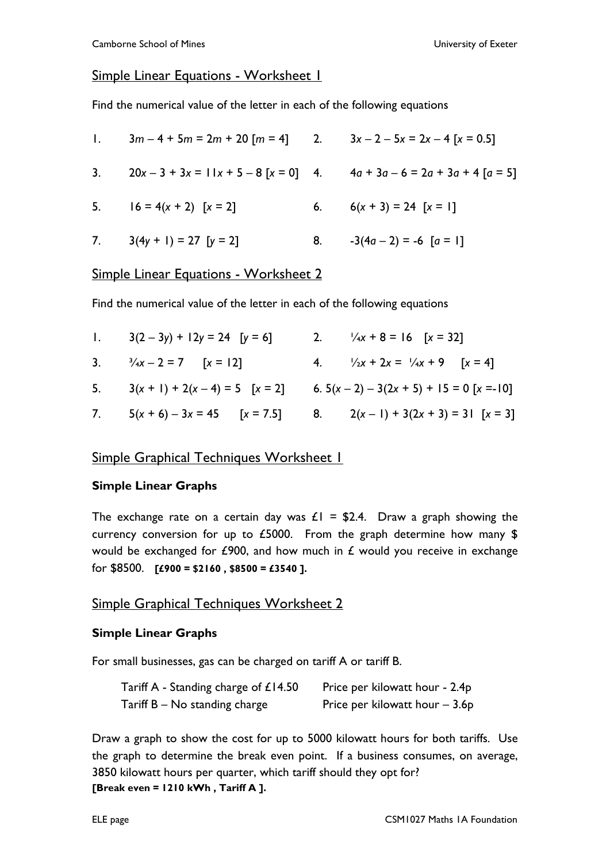## Simple Linear Equations - Worksheet 1

Find the numerical value of the letter in each of the following equations

| 1. $3m-4+5m = 2m + 20$ [m = 4] 2. $3x-2-5x = 2x-4$ [x = 0.5] |                            |
|--------------------------------------------------------------|----------------------------|
| 3. $20x-3+3x = 11x+5-8[x=0]$ 4. $4a+3a-6=2a+3a+4[a=5]$       |                            |
| 5. $16 = 4(x + 2) [x = 2]$                                   | 6. $6(x + 3) = 24 [x = 1]$ |
| 7. $3(4y + 1) = 27$ [y = 2]                                  | 8. $-3(4a-2) = -6 [a = 1]$ |

## Simple Linear Equations - Worksheet 2

Find the numerical value of the letter in each of the following equations

| 1. $3(2-3y) + 12y = 24$ [y = 6]      | 2. $\frac{1}{4}x + 8 = 16$ [x = 32]                                |
|--------------------------------------|--------------------------------------------------------------------|
| 3. $\frac{3}{4}x - 2 = 7$ [x = 12]   | 4. $\frac{1}{2}x + 2x = \frac{1}{4}x + 9$ $[x = 4]$                |
| 5. $3(x + 1) + 2(x - 4) = 5$ [x = 2] | 6. $5(x-2) - 3(2x + 5) + 15 = 0$ [x = -10]                         |
|                                      | 7. $5(x+6)-3x = 45$ $[x = 7.5]$ 8. $2(x-1)+3(2x+3) = 31$ $[x = 3]$ |

## Simple Graphical Techniques Worksheet 1

#### **Simple Linear Graphs**

The exchange rate on a certain day was  $E1 = $2.4$ . Draw a graph showing the currency conversion for up to £5000. From the graph determine how many \$ would be exchanged for  $E$ 900, and how much in  $E$  would you receive in exchange for \$8500. **[£900 = \$2160 , \$8500 = £3540 ].** 

## Simple Graphical Techniques Worksheet 2

#### **Simple Linear Graphs**

For small businesses, gas can be charged on tariff A or tariff B.

| Tariff A - Standing charge of $£14.50$ | Price per kilowatt hour - 2.4p  |
|----------------------------------------|---------------------------------|
| $Tariff B - No$ standing charge        | Price per kilowatt hour $-3.6p$ |

Draw a graph to show the cost for up to 5000 kilowatt hours for both tariffs. Use the graph to determine the break even point. If a business consumes, on average, 3850 kilowatt hours per quarter, which tariff should they opt for? **[Break even = 1210 kWh , Tariff A ].**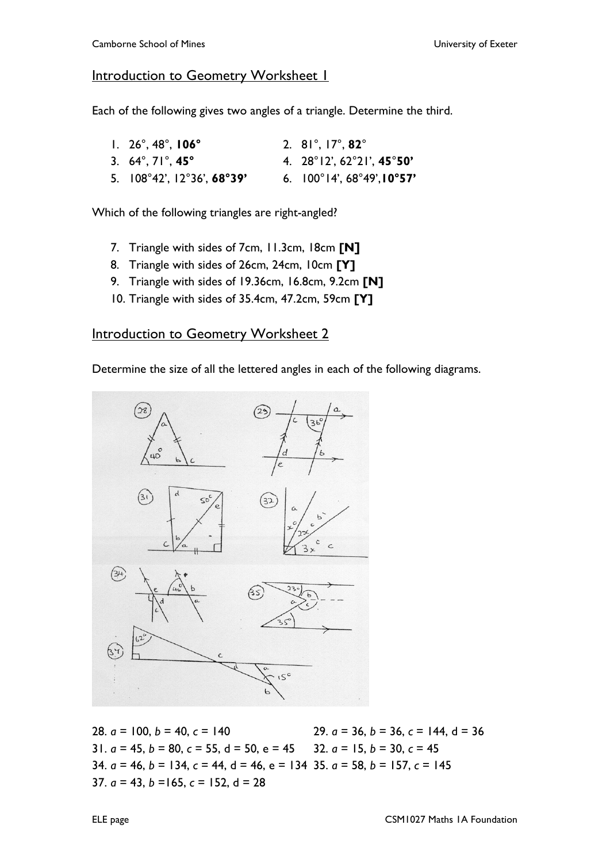## Introduction to Geometry Worksheet 1

Each of the following gives two angles of a triangle. Determine the third.

| $1. \, 26^\circ, 48^\circ, 106^\circ$                   | 2. $81^\circ$ , $17^\circ$ , $82^\circ$                 |
|---------------------------------------------------------|---------------------------------------------------------|
| 3. $64^{\circ}$ , $71^{\circ}$ , $45^{\circ}$           | 4. $28^{\circ}12'$ , $62^{\circ}21'$ , $45^{\circ}50'$  |
| 5. $108^{\circ}42'$ , $12^{\circ}36'$ , $68^{\circ}39'$ | 6. $100^{\circ}14'$ , $68^{\circ}49'$ , $10^{\circ}57'$ |

Which of the following triangles are right-angled?

- 7. Triangle with sides of 7cm, 11.3cm, 18cm **[N]**
- 8. Triangle with sides of 26cm, 24cm, 10cm **[Y]**
- 9. Triangle with sides of 19.36cm, 16.8cm, 9.2cm **[N]**
- 10. Triangle with sides of 35.4cm, 47.2cm, 59cm **[Y]**

# Introduction to Geometry Worksheet 2

Determine the size of all the lettered angles in each of the following diagrams.



28. *a* = 100, *b* = 40, *c* = 140 29. *a* = 36, *b* = 36, *c* = 144, d = 36 31.  $a = 45$ ,  $b = 80$ ,  $c = 55$ ,  $d = 50$ ,  $e = 45$  32.  $a = 15$ ,  $b = 30$ ,  $c = 45$ 34. *a* = 46, *b* = 134, *c* = 44, d = 46, e = 134 35. *a* = 58, *b* = 157, *c* = 145 37. *a* = 43, *b* =165, *c* = 152, d = 28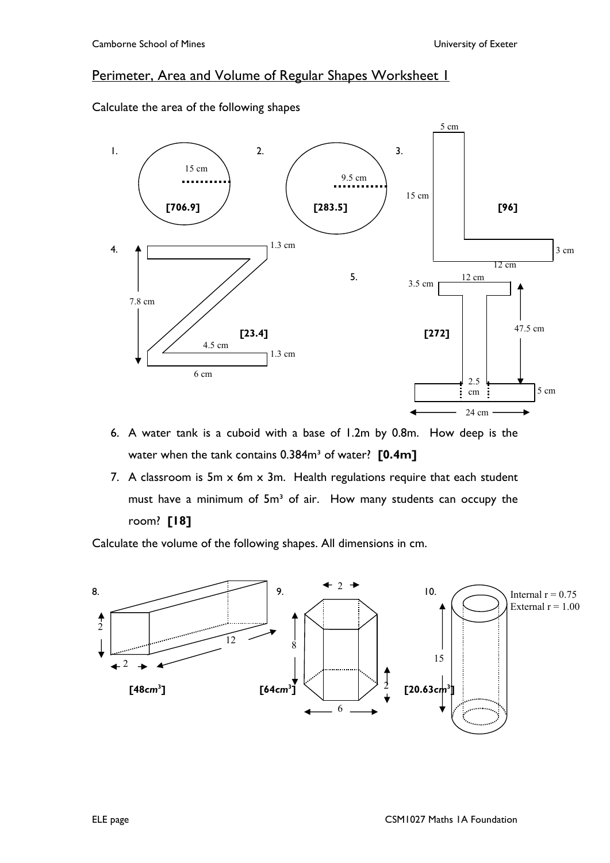# Perimeter, Area and Volume of Regular Shapes Worksheet 1

Calculate the area of the following shapes



- 6. A water tank is a cuboid with a base of 1.2m by 0.8m. How deep is the water when the tank contains 0.384m<sup>3</sup> of water? **[0.4m]**
- 7. A classroom is  $5m \times 6m \times 3m$ . Health regulations require that each student must have a minimum of 5m<sup>3</sup> of air. How many students can occupy the room? **[18]**

Calculate the volume of the following shapes. All dimensions in cm.

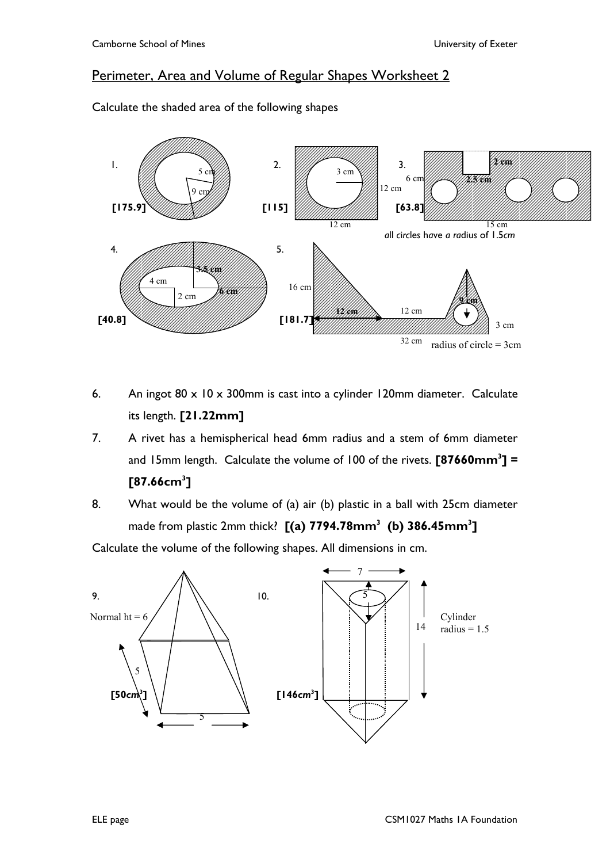# Perimeter, Area and Volume of Regular Shapes Worksheet 2



Calculate the shaded area of the following shapes

- 6. An ingot 80 x 10 x 300mm is cast into a cylinder 120mm diameter. Calculate its length. **[21.22mm]**
- 7. A rivet has a hemispherical head 6mm radius and a stem of 6mm diameter and 15mm length. Calculate the volume of 100 of the rivets. **[87660mm<sup>3</sup> ] = [87.66cm<sup>3</sup> ]**
- 8. What would be the volume of (a) air (b) plastic in a ball with 25cm diameter made from plastic 2mm thick? **[(a) 7794.78mm<sup>3</sup> (b) 386.45mm<sup>3</sup> ]**

Calculate the volume of the following shapes. All dimensions in cm.

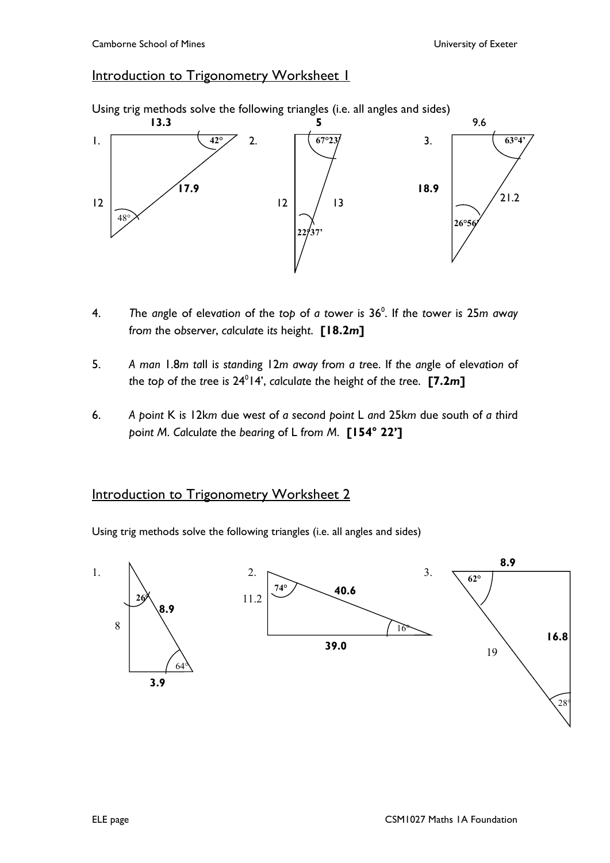# Introduction to Trigonometry Worksheet 1





- 4. *T*he *an*gle of elev*at*io*n* of *t*he *t*o*p* of *a t*owe*r* i*s* 36<sup>0</sup> . If *t*he *t*owe*r* i*s* 25*m a*w*ay* f*r*o*m t*he o*bs*e*r*ve*r*, *ca*l*c*ul*at*e i*ts* heigh*t*. **[18.2***m***]**
- 5. *A man* 1.8*m ta*ll i*s stan*di*n*g 12*m a*w*ay* f*r*o*m a tr*ee. If *t*he *an*gle of elev*at*io*n* of *t*he *t*o*p* of *t*he *tr*ee i*s* 24<sup>0</sup> 14', *ca*l*c*ul*at*e *t*he heigh*t* of *t*he *tr*ee. **[7.2***m***]**
- 6. *A p*oi*nt* K i*s* 12k*m* due we*st* of *a s*e*c*o*n*d *p*oi*nt* L *an*d 25k*m* due *s*ou*t*h of *a t*hi*r*d *p*oi*nt M*. *Ca*l*c*ul*at*e *t*he *b*e*ar*i*n*g of L f*r*o*m M*. **[154° 22']**

# Introduction to Trigonometry Worksheet 2

Using trig methods solve the following triangles (i.e. all angles and sides)

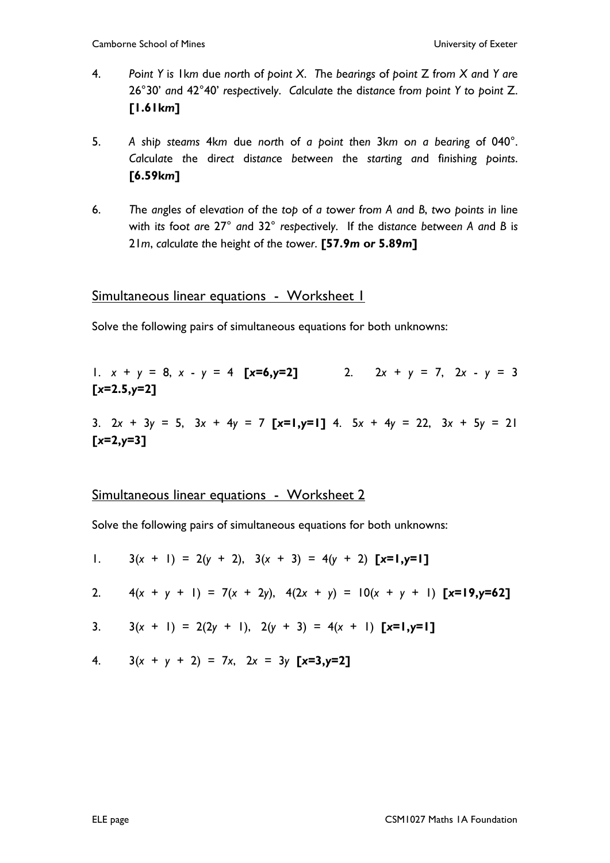- 4. Point Y is I km due north of point X. The bearings of point  $Z$  from  $X$  and  $Y$  are 26°30' *an*d 42°40' *r*e*sp*e*ct*ivel*y*. *Ca*l*c*ul*at*e *t*he di*stanc*e f*r*o*m p*oi*nt Y t*o *p*oi*nt* Z. **[1.61k***m***]**
- 5. *A s*hi*p st*e*ams* 4k*m* due *n*o*rt*h of *a p*oi*nt t*he*n* 3k*m* o*n a b*e*ar*i*n*g of 040°. *Ca*l*c*ul*at*e *t*he di*r*e*ct* di*stanc*e *b*e*t*wee*n t*he *start*i*n*g *an*d fi*n*i*s*hi*n*g *p*oi*nts*. **[6.59k***m***]**
- 6. The angles of elevation of the top of a tower from A and B, two points in line wi*t*h i*ts* foo*t ar*e 27° *an*d 32° *r*e*sp*e*ct*ivel*y*. If *t*he di*stanc*e *b*e*t*wee*n A an*d *B* i*s* 21*m*, *ca*l*c*ul*at*e *t*he heigh*t* of *t*he *t*owe*r*. **[57.9***m* **o***r* **5.89***m***]**

## Simultaneous linear equations - Worksheet 1

Solve the following pairs of simultaneous equations for both unknowns:

1. 
$$
x + y = 8
$$
,  $x - y = 4$  [ $x=6$ ,  $y=2$ ] 2.  $2x + y = 7$ ,  $2x - y = 3$   
[ $x=2.5$ ,  $y=2$ ]

3. 2*x* + 3*y* = 5, 3*x* + 4*y* = 7 **[***x***=1,***y***=1]** 4. 5*x* + 4*y* = 22, 3*x* + 5*y* = 21 **[***x***=2,***y***=3]** 

## Simultaneous linear equations - Worksheet 2

Solve the following pairs of simultaneous equations for both unknowns:

1. 
$$
3(x + 1) = 2(y + 2), 3(x + 3) = 4(y + 2)
$$
 [**x**=**1**,**y**=**1**]

2. 
$$
4(x + y + 1) = 7(x + 2y), 4(2x + y) = 10(x + y + 1)
$$
 [**x**=19,**y**=62]

3. 
$$
3(x + 1) = 2(2y + 1), 2(y + 3) = 4(x + 1) [x=1,y=1]
$$

4. 
$$
3(x + y + 2) = 7x
$$
,  $2x = 3y [x=3,y=2]$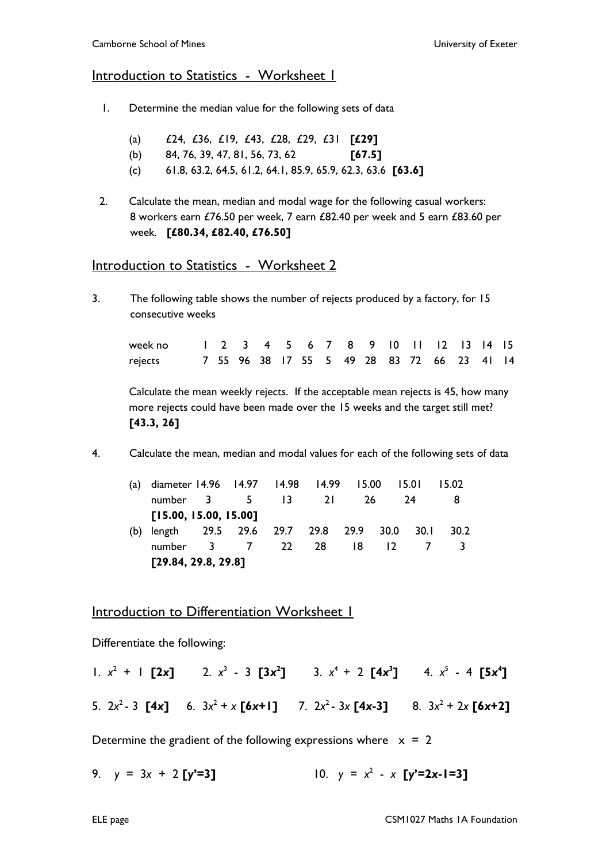## Introduction to Statistics - Worksheet 1

- 1. Determine the median value for the following sets of data
	- (a) £24, £36, £19, £43, £28, £29, £31 **[£29]**
	- (b) 84, 76, 39, 47, 81, 56, 73, 62 **[67.5]**
	- (c) 61.8, 63.2, 64.5, 61.2, 64.1, 85.9, 65.9, 62.3, 63.6 **[63.6]**
- 2. Calculate the mean, median and modal wage for the following casual workers: 8 workers earn £76.50 per week, 7 earn £82.40 per week and 5 earn £83.60 per week. **[£80.34, £82.40, £76.50]**

## Introduction to Statistics - Worksheet 2

3. The following table shows the number of rejects produced by a factory, for 15 consecutive weeks

| week no 1 2 3 4 5 6 7 8 9 10 11 12 13 14 15 |  |  |  |  |  |                                            |  |  |
|---------------------------------------------|--|--|--|--|--|--------------------------------------------|--|--|
| rejects                                     |  |  |  |  |  | 7 55 96 38 17 55 5 49 28 83 72 66 23 41 14 |  |  |

Calculate the mean weekly rejects. If the acceptable mean rejects is 45, how many more rejects could have been made over the 15 weeks and the target still met? **[43.3, 26]** 

4. Calculate the mean, median and modal values for each of the following sets of data

|     | (a) diameter 14.96 14.97 14.98 14.99 15.00 15.01 |  |  |  |  |  |         |      | 15.02 |  |
|-----|--------------------------------------------------|--|--|--|--|--|---------|------|-------|--|
|     | number 3 5 13 21 26                              |  |  |  |  |  |         | -24  |       |  |
|     | [15.00, 15.00, 15.00]                            |  |  |  |  |  |         |      |       |  |
| (b) | length 29.5 29.6 29.7 29.8 29.9 30.0             |  |  |  |  |  |         | 30.1 | 30.2  |  |
|     | number 3 7 22 28                                 |  |  |  |  |  | 18 12 7 |      |       |  |
|     | [29.84, 29.8, 29.8]                              |  |  |  |  |  |         |      |       |  |

## Introduction to Differentiation Worksheet 1

Differentiate the following:

1.  $x^2 + 1$  [2x] 2.  $x^3 - 3$  [3x<sup>2</sup>] 3.  $x^4 + 2$  [4x<sup>3</sup>] 4.  $x^5 - 4$  [5x<sup>4</sup>] 5. 2*x* <sup>2</sup>- 3 **[4***x***]** 6. 3*x* 2 + *x* **[6***x***+1]** 7. 2*x* <sup>2</sup>- 3*x* **[4***x***-3]** 8. 3*x* 2 + 2*x* **[6***x***+2]**

Determine the gradient of the following expressions where  $x = 2$ 

9.  $y = 3x + 2 [y' = 3]$ 2 - *x* **[***y***'=2***x***-1=3]**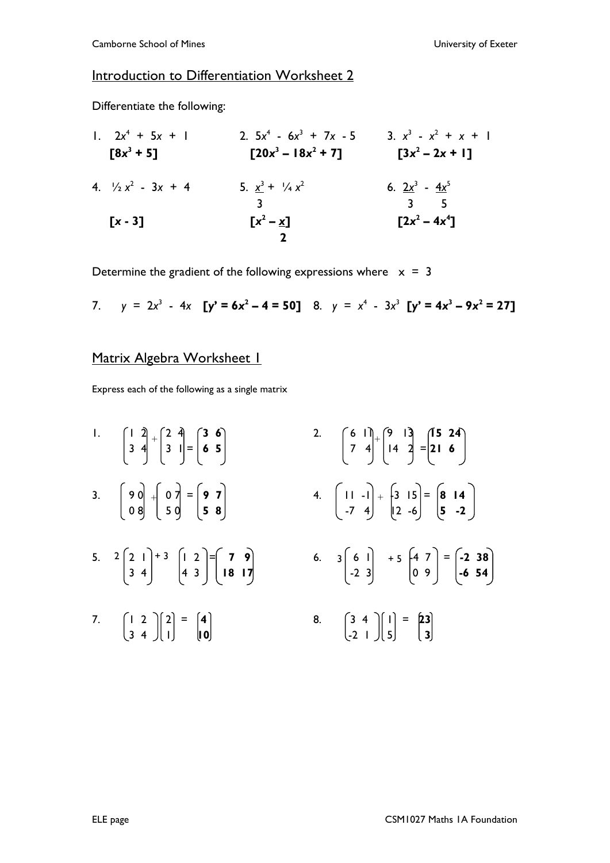# Introduction to Differentiation Worksheet 2

Differentiate the following:

| 1. $2x^4 + 5x + 1$           | 2. $5x^4 - 6x^3 + 7x - 5$           | 3. $x^3 - x^2 + x + 1$     |
|------------------------------|-------------------------------------|----------------------------|
| [ $8x^3 + 5$ ]               | [ $20x^3 - 18x^2 + 7$ ]             | [ $3x^2 - 2x + 1$ ]        |
| 4. $\frac{1}{2}x^2 - 3x + 4$ | 5. $\frac{x^3 + \frac{1}{4}x^2}{3}$ | 6. $\frac{2x^3 - 4x^5}{3}$ |
| [ $x - 3$ ]                  | [ $x^2 - x$ ]                       | [ $2x^2 - 4x^4$ ]          |

Determine the gradient of the following expressions where  $x = 3$ 

7.  $y = 2x^3 - 4x$  [y' = 6x<sup>2</sup> – 4 = 50] 8.  $y = x^4 - 3x^3$  [y' = 4x<sup>3</sup> – 9x<sup>2</sup> = 27]

# Matrix Algebra Worksheet 1

Express each of the following as a single matrix

- 1.  $\begin{bmatrix} 1 & 2 \\ 3 & 4 \end{bmatrix} + \begin{bmatrix} 2 & 4 \\ 3 & 1 \end{bmatrix} = \begin{bmatrix} 3 & 6 \\ 6 & 5 \end{bmatrix}$
- 3.  $\begin{bmatrix} 9 & 0 \\ 0 & 8 \end{bmatrix} + \begin{bmatrix} 0 & 7 \\ 5 & 0 \end{bmatrix} = \begin{bmatrix} 9 & 7 \\ 5 & 8 \end{bmatrix}$
- 5. 2 1 1 2 = **7 9** 6. 6 1 -4 7 = **-2 38** 5.  $2\begin{pmatrix} 2 & 1 \\ 3 & 4 \end{pmatrix} + 3 \begin{pmatrix} 1 & 2 \\ 4 & 3 \end{pmatrix} = \begin{pmatrix} 7 & 9 \\ 18 & 17 \end{pmatrix}$
- 7.  $\begin{bmatrix} 1 & 2 \\ 3 & 4 \end{bmatrix} \begin{bmatrix} 2 \\ 1 \end{bmatrix} = \begin{bmatrix} 4 \\ 10 \end{bmatrix}$
- 1.  $\begin{bmatrix} 1 & 2 \end{bmatrix}$   $\begin{bmatrix} 2 & 4 \end{bmatrix}$  **(3 6)** 2. **(6 11)**  $\begin{bmatrix} 9 & 13 \end{bmatrix}$  **(15 24** 3 4 3 1 = **6 5** 7 4 14 2 = **21 6** 3. 9 0 0 7 = **9 7** 4. 11 -1 -3 15 = **8 14** 0 8 5 0 **5 8** -7 4 12 -6 **5 -2**
- 3 4 4 3 **18 17** -2 3 0 9 **-6 54**
	- 8.  $\begin{bmatrix} 3 & 4 \\ -2 & 1 \end{bmatrix} \begin{bmatrix} 1 \\ 5 \end{bmatrix} = \begin{bmatrix} 23 \\ 3 \end{bmatrix}$